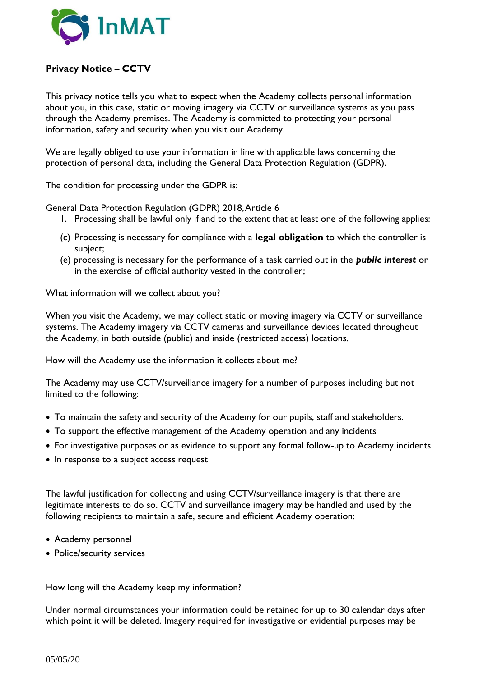

## **Privacy Notice – CCTV**

This privacy notice tells you what to expect when the Academy collects personal information about you, in this case, static or moving imagery via CCTV or surveillance systems as you pass through the Academy premises. The Academy is committed to protecting your personal information, safety and security when you visit our Academy.

We are legally obliged to use your information in line with applicable laws concerning the protection of personal data, including the General Data Protection Regulation (GDPR).

The condition for processing under the GDPR is:

General Data Protection Regulation (GDPR) 2018, Article 6

- 1. Processing shall be lawful only if and to the extent that at least one of the following applies:
- (c) Processing is necessary for compliance with a **legal obligation** to which the controller is subject;
- (e) processing is necessary for the performance of a task carried out in the *public interest* or in the exercise of official authority vested in the controller;

What information will we collect about you?

When you visit the Academy, we may collect static or moving imagery via CCTV or surveillance systems. The Academy imagery via CCTV cameras and surveillance devices located throughout the Academy, in both outside (public) and inside (restricted access) locations.

How will the Academy use the information it collects about me?

The Academy may use CCTV/surveillance imagery for a number of purposes including but not limited to the following:

- To maintain the safety and security of the Academy for our pupils, staff and stakeholders.
- To support the effective management of the Academy operation and any incidents
- For investigative purposes or as evidence to support any formal follow-up to Academy incidents
- In response to a subject access request

The lawful justification for collecting and using CCTV/surveillance imagery is that there are legitimate interests to do so. CCTV and surveillance imagery may be handled and used by the following recipients to maintain a safe, secure and efficient Academy operation:

- Academy personnel
- Police/security services

How long will the Academy keep my information?

Under normal circumstances your information could be retained for up to 30 calendar days after which point it will be deleted. Imagery required for investigative or evidential purposes may be